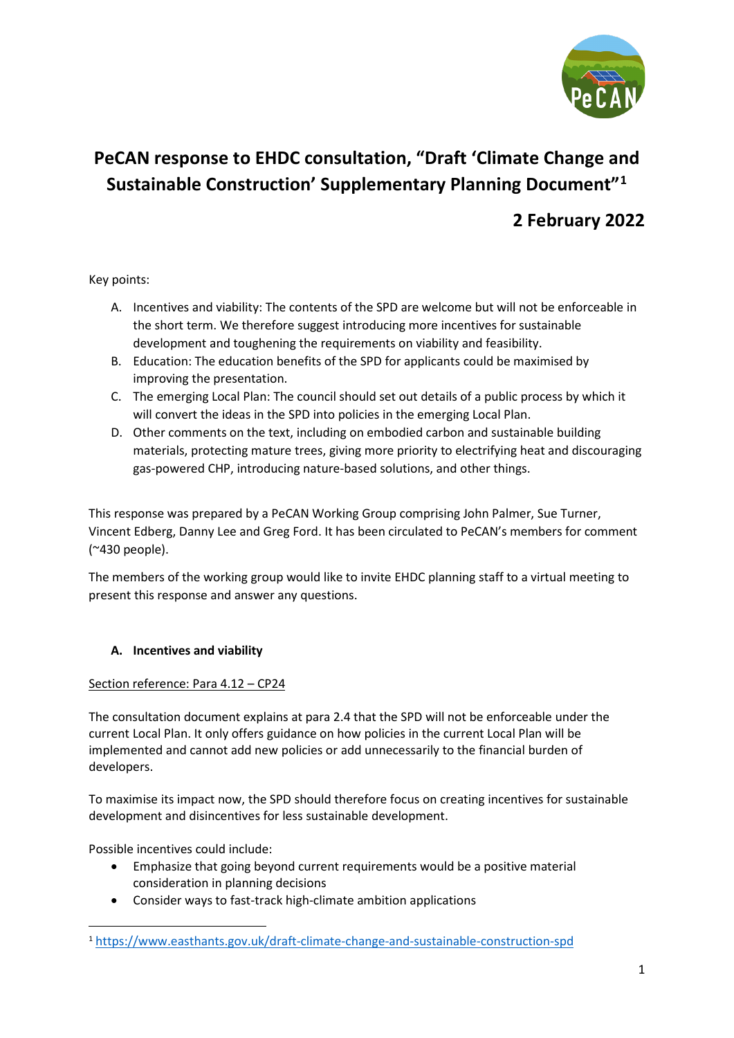

# **PeCAN response to EHDC consultation, "Draft 'Climate Change and Sustainable Construction' Supplementary Planning Document"[1](#page-0-0)**

# **2 February 2022**

Key points:

- A. Incentives and viability: The contents of the SPD are welcome but will not be enforceable in the short term. We therefore suggest introducing more incentives for sustainable development and toughening the requirements on viability and feasibility.
- B. Education: The education benefits of the SPD for applicants could be maximised by improving the presentation.
- C. The emerging Local Plan: The council should set out details of a public process by which it will convert the ideas in the SPD into policies in the emerging Local Plan.
- D. Other comments on the text, including on embodied carbon and sustainable building materials, protecting mature trees, giving more priority to electrifying heat and discouraging gas-powered CHP, introducing nature-based solutions, and other things.

This response was prepared by a PeCAN Working Group comprising John Palmer, Sue Turner, Vincent Edberg, Danny Lee and Greg Ford. It has been circulated to PeCAN's members for comment (~430 people).

The members of the working group would like to invite EHDC planning staff to a virtual meeting to present this response and answer any questions.

# **A. Incentives and viability**

# Section reference: Para 4.12 – CP24

The consultation document explains at para 2.4 that the SPD will not be enforceable under the current Local Plan. It only offers guidance on how policies in the current Local Plan will be implemented and cannot add new policies or add unnecessarily to the financial burden of developers.

To maximise its impact now, the SPD should therefore focus on creating incentives for sustainable development and disincentives for less sustainable development.

Possible incentives could include:

- Emphasize that going beyond current requirements would be a positive material consideration in planning decisions
- Consider ways to fast-track high-climate ambition applications

<span id="page-0-0"></span><sup>1</sup> <https://www.easthants.gov.uk/draft-climate-change-and-sustainable-construction-spd>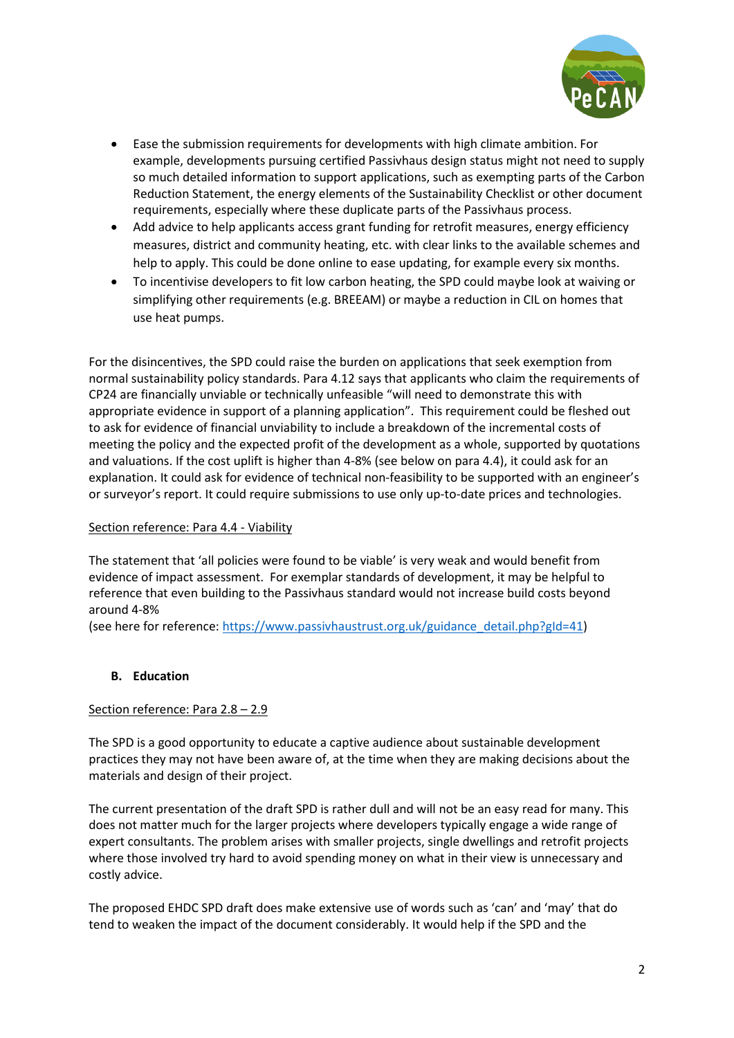

- Ease the submission requirements for developments with high climate ambition. For example, developments pursuing certified Passivhaus design status might not need to supply so much detailed information to support applications, such as exempting parts of the Carbon Reduction Statement, the energy elements of the Sustainability Checklist or other document requirements, especially where these duplicate parts of the Passivhaus process.
- Add advice to help applicants access grant funding for retrofit measures, energy efficiency measures, district and community heating, etc. with clear links to the available schemes and help to apply. This could be done online to ease updating, for example every six months.
- To incentivise developers to fit low carbon heating, the SPD could maybe look at waiving or simplifying other requirements (e.g. BREEAM) or maybe a reduction in CIL on homes that use heat pumps.

For the disincentives, the SPD could raise the burden on applications that seek exemption from normal sustainability policy standards. Para 4.12 says that applicants who claim the requirements of CP24 are financially unviable or technically unfeasible "will need to demonstrate this with appropriate evidence in support of a planning application". This requirement could be fleshed out to ask for evidence of financial unviability to include a breakdown of the incremental costs of meeting the policy and the expected profit of the development as a whole, supported by quotations and valuations. If the cost uplift is higher than 4-8% (see below on para 4.4), it could ask for an explanation. It could ask for evidence of technical non-feasibility to be supported with an engineer's or surveyor's report. It could require submissions to use only up-to-date prices and technologies.

# Section reference: Para 4.4 - Viability

The statement that 'all policies were found to be viable' is very weak and would benefit from evidence of impact assessment. For exemplar standards of development, it may be helpful to reference that even building to the Passivhaus standard would not increase build costs beyond around 4-8%

(see here for reference: [https://www.passivhaustrust.org.uk/guidance\\_detail.php?gId=41\)](https://www.passivhaustrust.org.uk/guidance_detail.php?gId=41)

#### **B. Education**

# Section reference: Para 2.8 - 2.9

The SPD is a good opportunity to educate a captive audience about sustainable development practices they may not have been aware of, at the time when they are making decisions about the materials and design of their project.

The current presentation of the draft SPD is rather dull and will not be an easy read for many. This does not matter much for the larger projects where developers typically engage a wide range of expert consultants. The problem arises with smaller projects, single dwellings and retrofit projects where those involved try hard to avoid spending money on what in their view is unnecessary and costly advice.

The proposed EHDC SPD draft does make extensive use of words such as 'can' and 'may' that do tend to weaken the impact of the document considerably. It would help if the SPD and the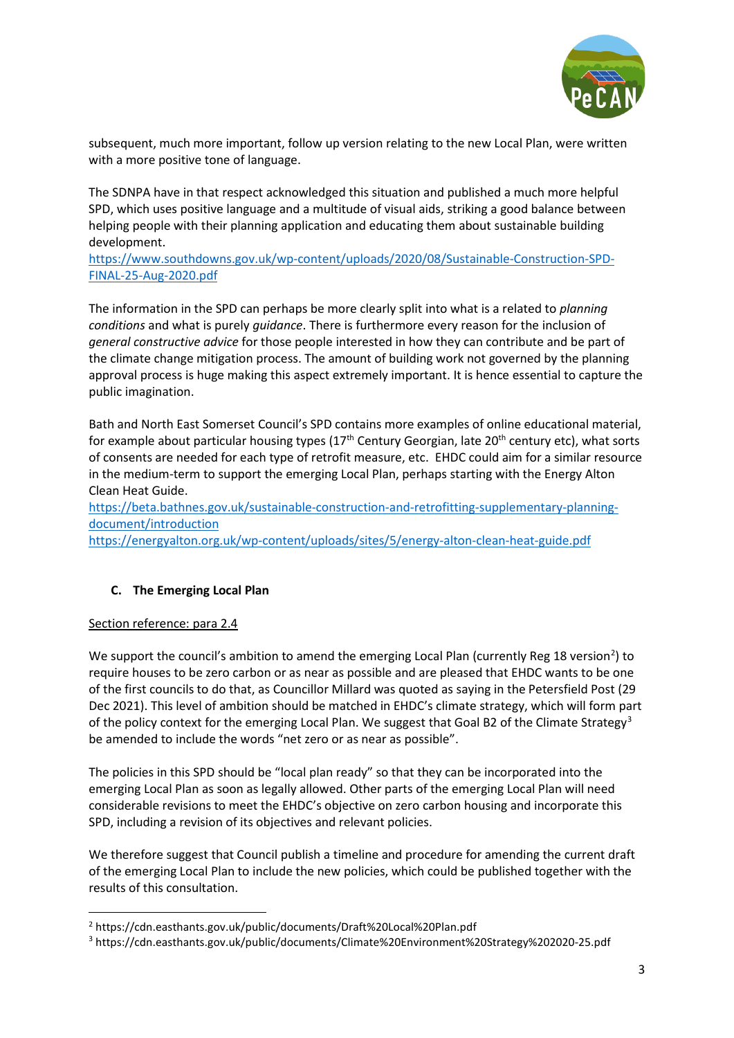

subsequent, much more important, follow up version relating to the new Local Plan, were written with a more positive tone of language.

The SDNPA have in that respect acknowledged this situation and published a much more helpful SPD, which uses positive language and a multitude of visual aids, striking a good balance between helping people with their planning application and educating them about sustainable building development.

[https://www.southdowns.gov.uk/wp-content/uploads/2020/08/Sustainable-Construction-SPD-](https://www.southdowns.gov.uk/wp-content/uploads/2020/08/Sustainable-Construction-SPD-FINAL-25-Aug-2020.pdf)[FINAL-25-Aug-2020.pdf](https://www.southdowns.gov.uk/wp-content/uploads/2020/08/Sustainable-Construction-SPD-FINAL-25-Aug-2020.pdf)

The information in the SPD can perhaps be more clearly split into what is a related to *planning conditions* and what is purely *guidance*. There is furthermore every reason for the inclusion of *general constructive advice* for those people interested in how they can contribute and be part of the climate change mitigation process. The amount of building work not governed by the planning approval process is huge making this aspect extremely important. It is hence essential to capture the public imagination.

Bath and North East Somerset Council's SPD contains more examples of online educational material, for example about particular housing types  $(17<sup>th</sup>$  Century Georgian, late  $20<sup>th</sup>$  century etc), what sorts of consents are needed for each type of retrofit measure, etc. EHDC could aim for a similar resource in the medium-term to support the emerging Local Plan, perhaps starting with the Energy Alton Clean Heat Guide.

[https://beta.bathnes.gov.uk/sustainable-construction-and-retrofitting-supplementary-planning](https://beta.bathnes.gov.uk/sustainable-construction-and-retrofitting-supplementary-planning-document/introduction)[document/introduction](https://beta.bathnes.gov.uk/sustainable-construction-and-retrofitting-supplementary-planning-document/introduction) <https://energyalton.org.uk/wp-content/uploads/sites/5/energy-alton-clean-heat-guide.pdf>

# **C. The Emerging Local Plan**

# Section reference: para 2.4

We support the council's ambition to amend the emerging Local Plan (currently Reg 18 version<sup>[2](#page-2-0)</sup>) to require houses to be zero carbon or as near as possible and are pleased that EHDC wants to be one of the first councils to do that, as Councillor Millard was quoted as saying in the Petersfield Post (29 Dec 2021). This level of ambition should be matched in EHDC's climate strategy, which will form part of the policy context for the emerging Local Plan. We suggest that Goal B2 of the Climate Strategy<sup>[3](#page-2-1)</sup> be amended to include the words "net zero or as near as possible".

The policies in this SPD should be "local plan ready" so that they can be incorporated into the emerging Local Plan as soon as legally allowed. Other parts of the emerging Local Plan will need considerable revisions to meet the EHDC's objective on zero carbon housing and incorporate this SPD, including a revision of its objectives and relevant policies.

We therefore suggest that Council publish a timeline and procedure for amending the current draft of the emerging Local Plan to include the new policies, which could be published together with the results of this consultation.

<span id="page-2-0"></span><sup>2</sup> https://cdn.easthants.gov.uk/public/documents/Draft%20Local%20Plan.pdf

<span id="page-2-1"></span><sup>3</sup> https://cdn.easthants.gov.uk/public/documents/Climate%20Environment%20Strategy%202020-25.pdf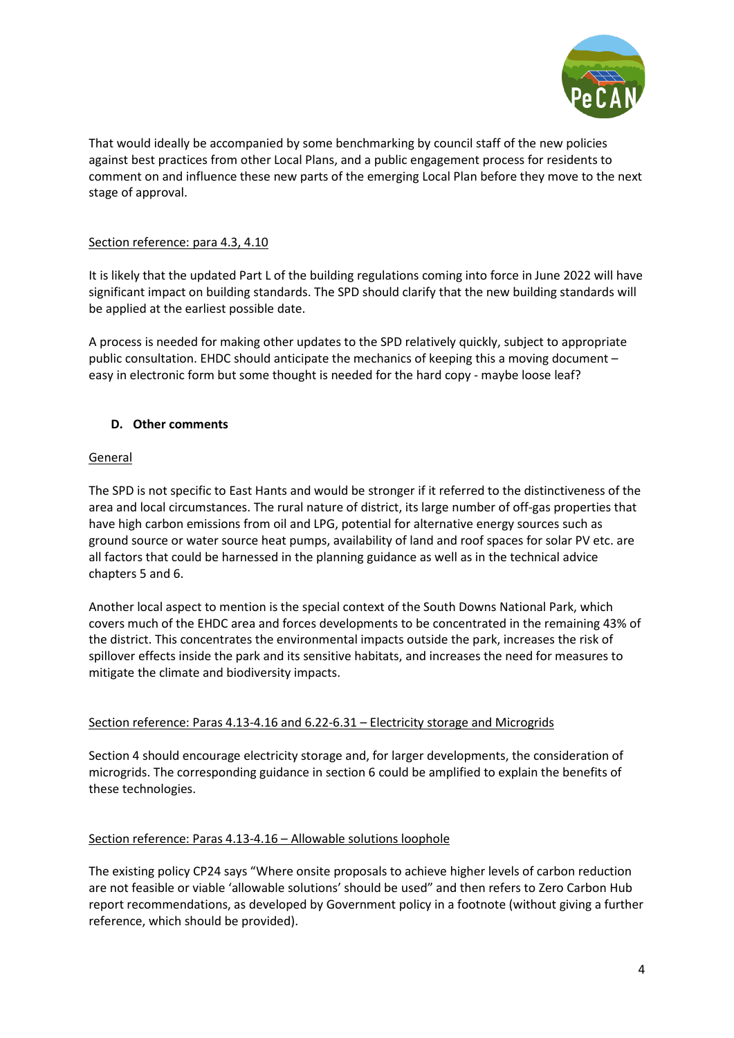

That would ideally be accompanied by some benchmarking by council staff of the new policies against best practices from other Local Plans, and a public engagement process for residents to comment on and influence these new parts of the emerging Local Plan before they move to the next stage of approval.

### Section reference: para 4.3, 4.10

It is likely that the updated Part L of the building regulations coming into force in June 2022 will have significant impact on building standards. The SPD should clarify that the new building standards will be applied at the earliest possible date.

A process is needed for making other updates to the SPD relatively quickly, subject to appropriate public consultation. EHDC should anticipate the mechanics of keeping this a moving document – easy in electronic form but some thought is needed for the hard copy - maybe loose leaf?

#### **D. Other comments**

#### General

The SPD is not specific to East Hants and would be stronger if it referred to the distinctiveness of the area and local circumstances. The rural nature of district, its large number of off-gas properties that have high carbon emissions from oil and LPG, potential for alternative energy sources such as ground source or water source heat pumps, availability of land and roof spaces for solar PV etc. are all factors that could be harnessed in the planning guidance as well as in the technical advice chapters 5 and 6.

Another local aspect to mention is the special context of the South Downs National Park, which covers much of the EHDC area and forces developments to be concentrated in the remaining 43% of the district. This concentrates the environmental impacts outside the park, increases the risk of spillover effects inside the park and its sensitive habitats, and increases the need for measures to mitigate the climate and biodiversity impacts.

#### Section reference: Paras 4.13-4.16 and 6.22-6.31 – Electricity storage and Microgrids

Section 4 should encourage electricity storage and, for larger developments, the consideration of microgrids. The corresponding guidance in section 6 could be amplified to explain the benefits of these technologies.

#### Section reference: Paras 4.13-4.16 – Allowable solutions loophole

The existing policy CP24 says "Where onsite proposals to achieve higher levels of carbon reduction are not feasible or viable 'allowable solutions' should be used" and then refers to Zero Carbon Hub report recommendations, as developed by Government policy in a footnote (without giving a further reference, which should be provided).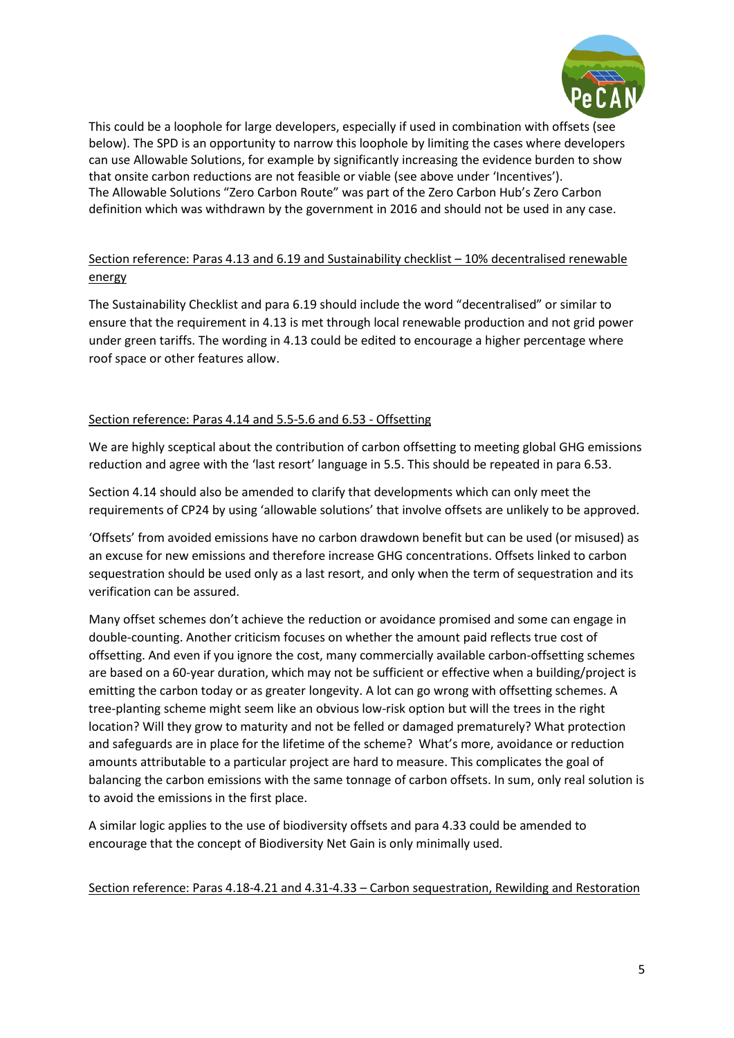

This could be a loophole for large developers, especially if used in combination with offsets (see below). The SPD is an opportunity to narrow this loophole by limiting the cases where developers can use Allowable Solutions, for example by significantly increasing the evidence burden to show that onsite carbon reductions are not feasible or viable (see above under 'Incentives'). The Allowable Solutions "Zero Carbon Route" was part of the Zero Carbon Hub's Zero Carbon definition which was withdrawn by the government in 2016 and should not be used in any case.

# Section reference: Paras 4.13 and 6.19 and Sustainability checklist – 10% decentralised renewable energy

The Sustainability Checklist and para 6.19 should include the word "decentralised" or similar to ensure that the requirement in 4.13 is met through local renewable production and not grid power under green tariffs. The wording in 4.13 could be edited to encourage a higher percentage where roof space or other features allow.

# Section reference: Paras 4.14 and 5.5-5.6 and 6.53 - Offsetting

We are highly sceptical about the contribution of carbon offsetting to meeting global GHG emissions reduction and agree with the 'last resort' language in 5.5. This should be repeated in para 6.53.

Section 4.14 should also be amended to clarify that developments which can only meet the requirements of CP24 by using 'allowable solutions' that involve offsets are unlikely to be approved.

'Offsets' from avoided emissions have no carbon drawdown benefit but can be used (or misused) as an excuse for new emissions and therefore increase GHG concentrations. Offsets linked to carbon sequestration should be used only as a last resort, and only when the term of sequestration and its verification can be assured.

Many offset schemes don't achieve the reduction or avoidance promised and some can engage in double-counting. Another criticism focuses on whether the amount paid reflects true cost of offsetting. And even if you ignore the cost, many commercially available carbon-offsetting schemes are based on a 60-year duration, which may not be sufficient or effective when a building/project is emitting the carbon today or as greater longevity. A lot can go wrong with offsetting schemes. A tree-planting scheme might seem like an obvious low-risk option but will the trees in the right location? Will they grow to maturity and not be felled or damaged prematurely? What protection and safeguards are in place for the lifetime of the scheme? What's more, avoidance or reduction amounts attributable to a particular project are hard to measure. This complicates the goal of balancing the carbon emissions with the same tonnage of carbon offsets. In sum, only real solution is to avoid the emissions in the first place.

A similar logic applies to the use of biodiversity offsets and para 4.33 could be amended to encourage that the concept of Biodiversity Net Gain is only minimally used.

# Section reference: Paras 4.18-4.21 and 4.31-4.33 – Carbon sequestration, Rewilding and Restoration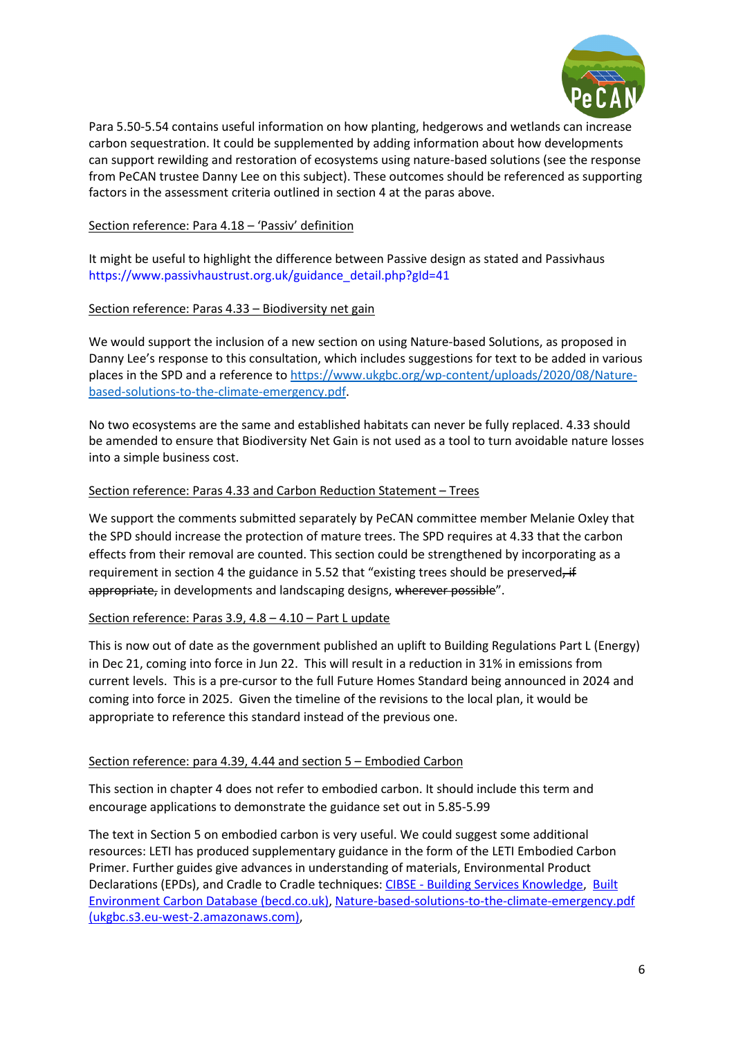

Para 5.50-5.54 contains useful information on how planting, hedgerows and wetlands can increase carbon sequestration. It could be supplemented by adding information about how developments can support rewilding and restoration of ecosystems using nature-based solutions (see the response from PeCAN trustee Danny Lee on this subject). These outcomes should be referenced as supporting factors in the assessment criteria outlined in section 4 at the paras above.

#### Section reference: Para 4.18 – 'Passiv' definition

It might be useful to highlight the difference between Passive design as stated and Passivhaus [https://www.passivhaustrust.org.uk/guidance\\_detail.php?gId=41](https://www.passivhaustrust.org.uk/guidance_detail.php?gId=41)

#### Section reference: Paras 4.33 – Biodiversity net gain

We would support the inclusion of a new section on using Nature-based Solutions, as proposed in Danny Lee's response to this consultation, which includes suggestions for text to be added in various places in the SPD and a reference t[o https://www.ukgbc.org/wp-content/uploads/2020/08/Nature](https://www.ukgbc.org/wp-content/uploads/2020/08/Nature-based-solutions-to-the-climate-emergency.pdf)[based-solutions-to-the-climate-emergency.pdf.](https://www.ukgbc.org/wp-content/uploads/2020/08/Nature-based-solutions-to-the-climate-emergency.pdf)

No two ecosystems are the same and established habitats can never be fully replaced. 4.33 should be amended to ensure that Biodiversity Net Gain is not used as a tool to turn avoidable nature losses into a simple business cost.

#### Section reference: Paras 4.33 and Carbon Reduction Statement – Trees

We support the comments submitted separately by PeCAN committee member Melanie Oxley that the SPD should increase the protection of mature trees. The SPD requires at 4.33 that the carbon effects from their removal are counted. This section could be strengthened by incorporating as a requirement in section 4 the guidance in 5.52 that "existing trees should be preserved, if appropriate, in developments and landscaping designs, wherever possible".

#### Section reference: Paras 3.9, 4.8 – 4.10 – Part L update

This is now out of date as the government published an uplift to Building Regulations Part L (Energy) in Dec 21, coming into force in Jun 22. This will result in a reduction in 31% in emissions from current levels. This is a pre-cursor to the full Future Homes Standard being announced in 2024 and coming into force in 2025. Given the timeline of the revisions to the local plan, it would be appropriate to reference this standard instead of the previous one.

# Section reference: para 4.39, 4.44 and section 5 – Embodied Carbon

This section in chapter 4 does not refer to embodied carbon. It should include this term and encourage applications to demonstrate the guidance set out in 5.85-5.99

The text in Section 5 on embodied carbon is very useful. We could suggest some additional resources: LETI has produced supplementary guidance in the form of the LETI Embodied Carbon Primer. Further guides give advances in understanding of materials, Environmental Product Declarations (EPDs), and Cradle to Cradle techniques: CIBSE - [Building Services Knowledge,](https://www.cibse.org/knowledge/knowledge-items/detail?id=a0q3Y00000IPZOhQAP) [Built](https://www.becd.co.uk/)  [Environment Carbon Database \(becd.co.uk\),](https://www.becd.co.uk/) [Nature-based-solutions-to-the-climate-emergency.pdf](https://ukgbc.s3.eu-west-2.amazonaws.com/wp-content/uploads/2020/08/05144641/Nature-based-solutions-to-the-climate-emergency.pdf)  [\(ukgbc.s3.eu-west-2.amazonaws.com\),](https://ukgbc.s3.eu-west-2.amazonaws.com/wp-content/uploads/2020/08/05144641/Nature-based-solutions-to-the-climate-emergency.pdf)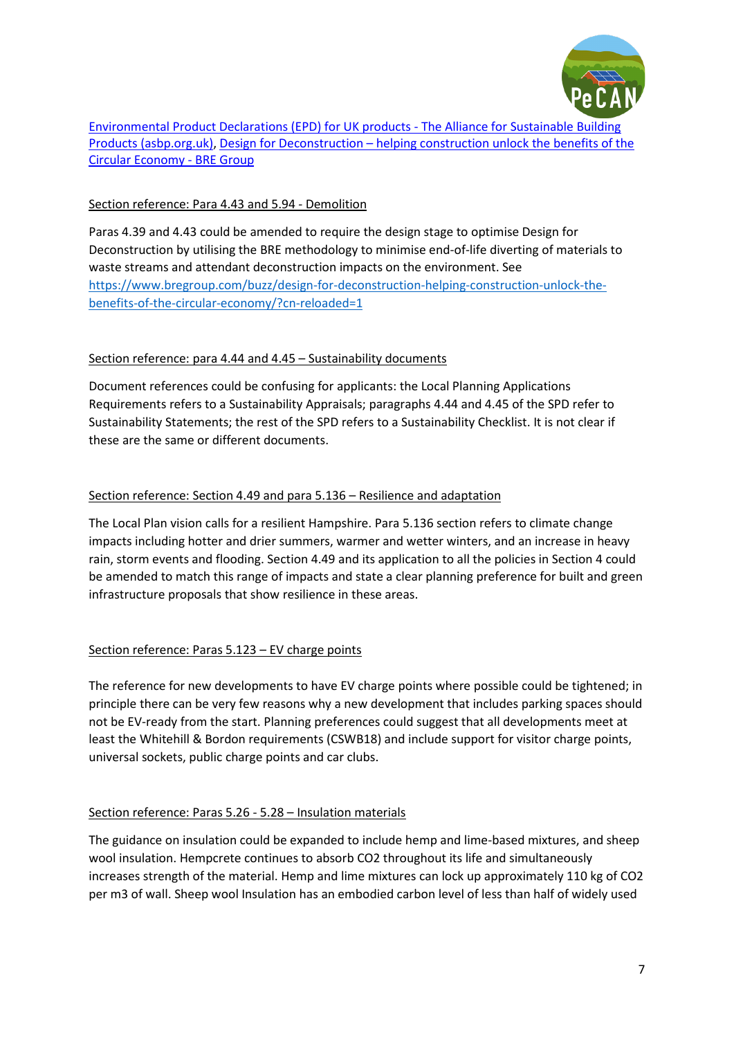

[Environmental Product Declarations \(EPD\) for UK products -](https://asbp.org.uk/online-briefing-paper/epd-uk-products) The Alliance for Sustainable Building [Products \(asbp.org.uk\),](https://asbp.org.uk/online-briefing-paper/epd-uk-products) Design for Deconstruction – [helping construction unlock the benefits of the](https://www.bregroup.com/buzz/design-for-deconstruction-helping-construction-unlock-the-benefits-of-the-circular-economy/?cn-reloaded=1)  [Circular Economy -](https://www.bregroup.com/buzz/design-for-deconstruction-helping-construction-unlock-the-benefits-of-the-circular-economy/?cn-reloaded=1) BRE Group

# Section reference: Para 4.43 and 5.94 - Demolition

Paras 4.39 and 4.43 could be amended to require the design stage to optimise Design for Deconstruction by utilising the BRE methodology to minimise end-of-life diverting of materials to waste streams and attendant deconstruction impacts on the environment. See [https://www.bregroup.com/buzz/design-for-deconstruction-helping-construction-unlock-the](https://www.bregroup.com/buzz/design-for-deconstruction-helping-construction-unlock-the-benefits-of-the-circular-economy/?cn-reloaded=1)[benefits-of-the-circular-economy/?cn-reloaded=1](https://www.bregroup.com/buzz/design-for-deconstruction-helping-construction-unlock-the-benefits-of-the-circular-economy/?cn-reloaded=1)

# Section reference: para 4.44 and 4.45 – Sustainability documents

Document references could be confusing for applicants: the Local Planning Applications Requirements refers to a Sustainability Appraisals; paragraphs 4.44 and 4.45 of the SPD refer to Sustainability Statements; the rest of the SPD refers to a Sustainability Checklist. It is not clear if these are the same or different documents.

# Section reference: Section 4.49 and para 5.136 – Resilience and adaptation

The Local Plan vision calls for a resilient Hampshire. Para 5.136 section refers to climate change impacts including hotter and drier summers, warmer and wetter winters, and an increase in heavy rain, storm events and flooding. Section 4.49 and its application to all the policies in Section 4 could be amended to match this range of impacts and state a clear planning preference for built and green infrastructure proposals that show resilience in these areas.

# Section reference: Paras 5.123 – EV charge points

The reference for new developments to have EV charge points where possible could be tightened; in principle there can be very few reasons why a new development that includes parking spaces should not be EV-ready from the start. Planning preferences could suggest that all developments meet at least the Whitehill & Bordon requirements (CSWB18) and include support for visitor charge points, universal sockets, public charge points and car clubs.

# Section reference: Paras 5.26 - 5.28 – Insulation materials

The guidance on insulation could be expanded to include hemp and lime-based mixtures, and sheep wool insulation. Hempcrete continues to absorb CO2 throughout its life and simultaneously increases strength of the material. Hemp and lime mixtures can lock up approximately 110 kg of CO2 per m3 of wall. Sheep wool Insulation has an embodied carbon level of less than half of widely used